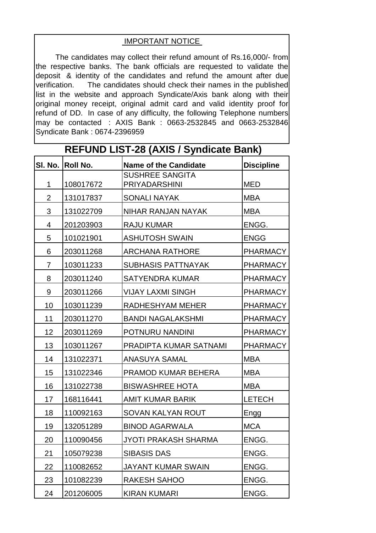## IMPORTANT NOTICE

The candidates may collect their refund amount of Rs.16,000/- from the respective banks. The bank officials are requested to validate the deposit & identity of the candidates and refund the amount after due verification. The candidates should check their names in the published list in the website and approach Syndicate/Axis bank along with their original money receipt, original admit card and valid identity proof for refund of DD. In case of any difficulty, the following Telephone numbers may be contacted : AXIS Bank : 0663-2532845 and 0663-2532846 Syndicate Bank : 0674-2396959

**REFUND LIST-28 (AXIS / Syndicate Bank)**

|                | .               |                                                |                   |  |
|----------------|-----------------|------------------------------------------------|-------------------|--|
| SI. No.        | <b>Roll No.</b> | <b>Name of the Candidate</b>                   | <b>Discipline</b> |  |
| $\mathbf{1}$   | 108017672       | <b>SUSHREE SANGITA</b><br><b>PRIYADARSHINI</b> | <b>MED</b>        |  |
| $\overline{2}$ | 131017837       | <b>SONALI NAYAK</b>                            | <b>MBA</b>        |  |
| 3              | 131022709       | NIHAR RANJAN NAYAK                             | <b>MBA</b>        |  |
| 4              | 201203903       | <b>RAJU KUMAR</b>                              | ENGG.             |  |
| 5              | 101021901       | <b>ASHUTOSH SWAIN</b>                          | <b>ENGG</b>       |  |
| 6              | 203011268       | <b>ARCHANA RATHORE</b>                         | <b>PHARMACY</b>   |  |
| $\overline{7}$ | 103011233       | <b>SUBHASIS PATTNAYAK</b>                      | <b>PHARMACY</b>   |  |
| 8              | 203011240       | <b>SATYENDRA KUMAR</b>                         | <b>PHARMACY</b>   |  |
| 9              | 203011266       | <b>VIJAY LAXMI SINGH</b>                       | <b>PHARMACY</b>   |  |
| 10             | 103011239       | RADHESHYAM MEHER                               | <b>PHARMACY</b>   |  |
| 11             | 203011270       | <b>BANDI NAGALAKSHMI</b>                       | <b>PHARMACY</b>   |  |
| 12             | 203011269       | POTNURU NANDINI                                | <b>PHARMACY</b>   |  |
| 13             | 103011267       | PRADIPTA KUMAR SATNAMI                         | <b>PHARMACY</b>   |  |
| 14             | 131022371       | <b>ANASUYA SAMAL</b>                           | <b>MBA</b>        |  |
| 15             | 131022346       | PRAMOD KUMAR BEHERA                            | <b>MBA</b>        |  |
| 16             | 131022738       | <b>BISWASHREE HOTA</b>                         | <b>MBA</b>        |  |
| 17             | 168116441       | <b>AMIT KUMAR BARIK</b>                        | <b>LETECH</b>     |  |
| 18             | 110092163       | SOVAN KALYAN ROUT                              | Engg              |  |
| 19             | 132051289       | <b>BINOD AGARWALA</b>                          | <b>MCA</b>        |  |
| 20             | 110090456       | JYOTI PRAKASH SHARMA                           | ENGG.             |  |
| 21             | 105079238       | <b>SIBASIS DAS</b>                             | ENGG.             |  |
| 22             | 110082652       | <b>JAYANT KUMAR SWAIN</b>                      | ENGG.             |  |
| 23             | 101082239       | <b>RAKESH SAHOO</b>                            | ENGG.             |  |
| 24             | 201206005       | <b>KIRAN KUMARI</b>                            | ENGG.             |  |